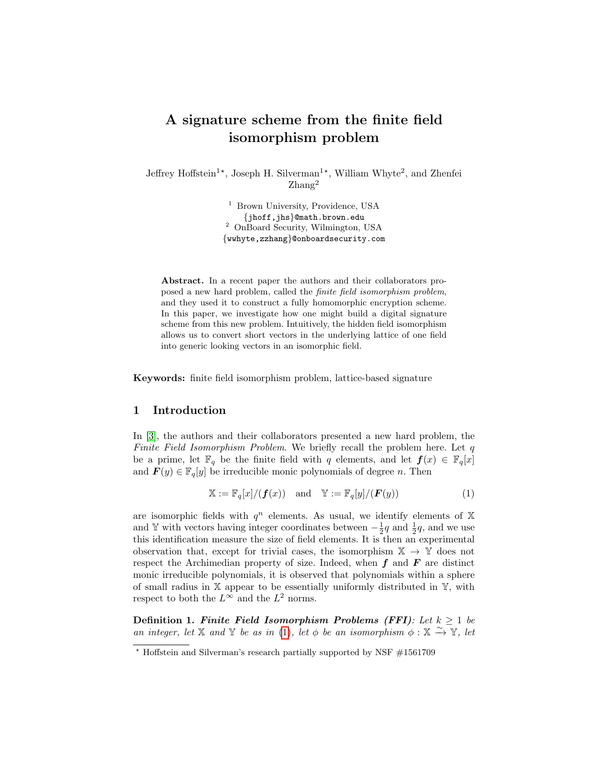# A signature scheme from the finite field isomorphism problem

Jeffrey Hoffstein<sup>1\*</sup>, Joseph H. Silverman<sup>1\*</sup>, William Whyte<sup>2</sup>, and Zhenfei Zhang<sup>2</sup>

> <sup>1</sup> Brown University, Providence, USA {jhoff,jhs}@math.brown.edu <sup>2</sup> OnBoard Security, Wilmington, USA {wwhyte,zzhang}@onboardsecurity.com

Abstract. In a recent paper the authors and their collaborators proposed a new hard problem, called the finite field isomorphism problem, and they used it to construct a fully homomorphic encryption scheme. In this paper, we investigate how one might build a digital signature scheme from this new problem. Intuitively, the hidden field isomorphism allows us to convert short vectors in the underlying lattice of one field into generic looking vectors in an isomorphic field.

Keywords: finite field isomorphism problem, lattice-based signature

### 1 Introduction

In [\[3\]](#page-13-0), the authors and their collaborators presented a new hard problem, the Finite Field Isomorphism Problem. We briefly recall the problem here. Let  $q$ be a prime, let  $\mathbb{F}_q$  be the finite field with q elements, and let  $f(x) \in \mathbb{F}_q[x]$ and  $\mathbf{F}(y) \in \mathbb{F}_q[y]$  be irreducible monic polynomials of degree *n*. Then

<span id="page-0-0"></span>
$$
\mathbb{X} := \mathbb{F}_q[x]/(f(x)) \quad \text{and} \quad \mathbb{Y} := \mathbb{F}_q[y]/(F(y)) \tag{1}
$$

are isomorphic fields with  $q^n$  elements. As usual, we identify elements of X and Y with vectors having integer coordinates between  $-\frac{1}{2}q$  and  $\frac{1}{2}q$ , and we use this identification measure the size of field elements. It is then an experimental observation that, except for trivial cases, the isomorphism  $\mathbb{X} \to \mathbb{Y}$  does not respect the Archimedian property of size. Indeed, when  $f$  and  $\overline{F}$  are distinct monic irreducible polynomials, it is observed that polynomials within a sphere of small radius in  $X$  appear to be essentially uniformly distributed in  $Y$ , with respect to both the  $L^{\infty}$  and the  $L^2$  norms.

Definition 1. Finite Field Isomorphism Problems (FFI): Let  $k \geq 1$  be an integer, let X and Y be as in [\(1\)](#page-0-0), let  $\phi$  be an isomorphism  $\phi : X \rightarrow \overline{Y}$ , let

<sup>?</sup> Hoffstein and Silverman's research partially supported by NSF #1561709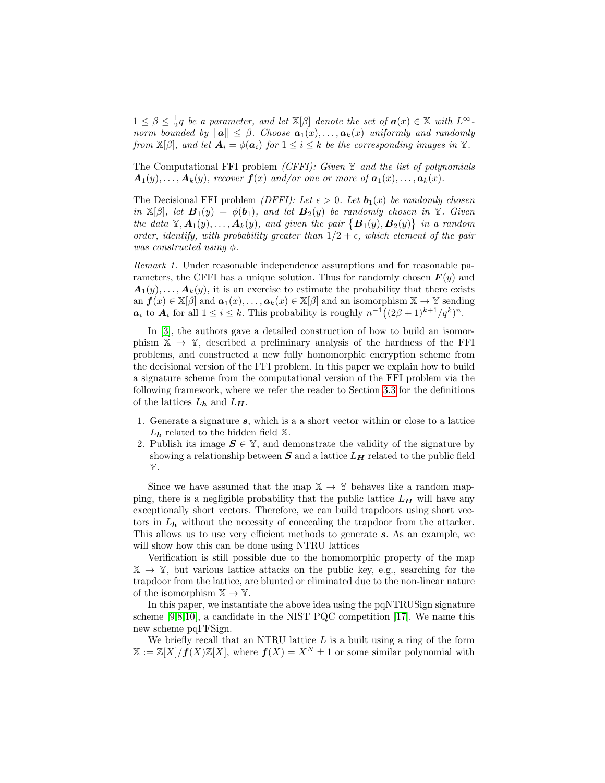$1 \leq \beta \leq \frac{1}{2}q$  be a parameter, and let  $\mathbb{X}[\beta]$  denote the set of  $a(x) \in \mathbb{X}$  with  $L^{\infty}$ . norm bounded by  $\|\mathbf{a}\| \leq \beta$ . Choose  $\mathbf{a}_1(x), \ldots, \mathbf{a}_k(x)$  uniformly and randomly from  $\mathbb{X}[\beta]$ , and let  $\mathbf{A}_i = \phi(\mathbf{a}_i)$  for  $1 \leq i \leq k$  be the corresponding images in  $\mathbb{Y}$ .

The Computational FFI problem *(CFFI): Given*  $\mathbb Y$  and the list of polynomials  $A_1(y), \ldots, A_k(y)$ , recover  $f(x)$  and/or one or more of  $a_1(x), \ldots, a_k(x)$ .

The Decisional FFI problem *(DFFI):* Let  $\epsilon > 0$ . Let  $\mathbf{b}_1(x)$  be randomly chosen in  $\mathbb{X}[\beta]$ , let  $\mathbf{B}_1(y) = \phi(\mathbf{b}_1)$ , and let  $\mathbf{B}_2(y)$  be randomly chosen in Y. Given the data  $\mathbb{Y}, \mathbf{A}_1(y), \ldots, \mathbf{A}_k(y)$ , and given the pair  $\{\mathbf{B}_1(y), \mathbf{B}_2(y)\}\$ in a random order, identify, with probability greater than  $1/2 + \epsilon$ , which element of the pair was constructed using  $\phi$ .

Remark 1. Under reasonable independence assumptions and for reasonable parameters, the CFFI has a unique solution. Thus for randomly chosen  $F(y)$  and  $A_1(y), \ldots, A_k(y)$ , it is an exercise to estimate the probability that there exists an  $f(x) \in X[\beta]$  and  $a_1(x), \ldots, a_k(x) \in X[\beta]$  and an isomorphism  $X \to Y$  sending  $a_i$  to  $A_i$  for all  $1 \leq i \leq k$ . This probability is roughly  $n^{-1}((2\beta+1)^{k+1}/q^k)^n$ .

In [\[3\]](#page-13-0), the authors gave a detailed construction of how to build an isomorphism  $X \rightarrow Y$ , described a preliminary analysis of the hardness of the FFI problems, and constructed a new fully homomorphic encryption scheme from the decisional version of the FFI problem. In this paper we explain how to build a signature scheme from the computational version of the FFI problem via the following framework, where we refer the reader to Section [3.3](#page-8-0) for the definitions of the lattices  $L_h$  and  $L_H$ .

- 1. Generate a signature s, which is a a short vector within or close to a lattice  $L_h$  related to the hidden field  $\mathbb{X}$ .
- 2. Publish its image  $S \in \mathbb{Y}$ , and demonstrate the validity of the signature by showing a relationship between  $S$  and a lattice  $L_H$  related to the public field Y.

Since we have assumed that the map  $\mathbb{X} \to \mathbb{Y}$  behaves like a random mapping, there is a negligible probability that the public lattice  $L_H$  will have any exceptionally short vectors. Therefore, we can build trapdoors using short vectors in  $L_h$  without the necessity of concealing the trapdoor from the attacker. This allows us to use very efficient methods to generate s. As an example, we will show how this can be done using NTRU lattices

Verification is still possible due to the homomorphic property of the map  $\mathbb{X} \to \mathbb{Y}$ , but various lattice attacks on the public key, e.g., searching for the trapdoor from the lattice, are blunted or eliminated due to the non-linear nature of the isomorphism  $\mathbb{X} \to \mathbb{Y}$ .

In this paper, we instantiate the above idea using the pqNTRUSign signature scheme [\[9,](#page-14-0)[8,](#page-13-1)[10\]](#page-14-1), a candidate in the NIST PQC competition [\[17\]](#page-14-2). We name this new scheme pqFFSign.

We briefly recall that an NTRU lattice  $L$  is a built using a ring of the form  $X := \mathbb{Z}[X]/f(X)\mathbb{Z}[X]$ , where  $f(X) = X^N \pm 1$  or some similar polynomial with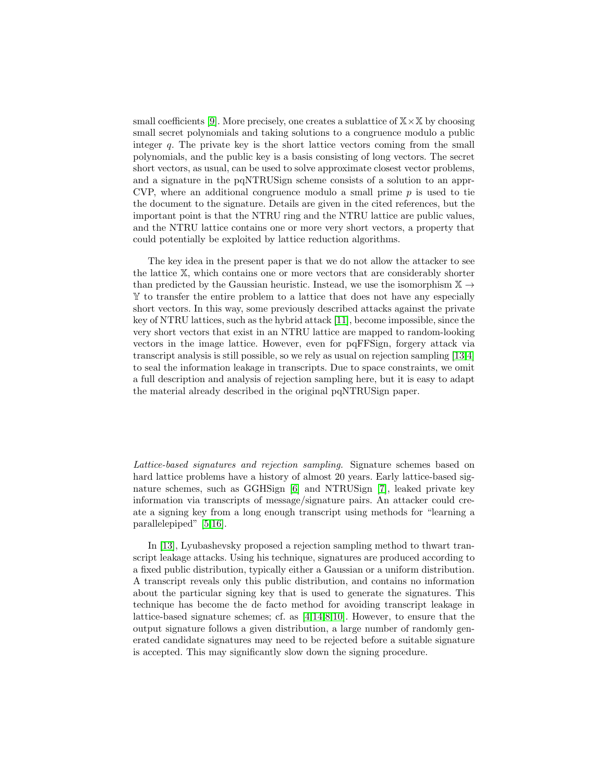small coefficients [\[9\]](#page-14-0). More precisely, one creates a sublattice of  $X \times X$  by choosing small secret polynomials and taking solutions to a congruence modulo a public integer q. The private key is the short lattice vectors coming from the small polynomials, and the public key is a basis consisting of long vectors. The secret short vectors, as usual, can be used to solve approximate closest vector problems, and a signature in the pqNTRUSign scheme consists of a solution to an appr-CVP, where an additional congruence modulo a small prime  $p$  is used to tie the document to the signature. Details are given in the cited references, but the important point is that the NTRU ring and the NTRU lattice are public values, and the NTRU lattice contains one or more very short vectors, a property that could potentially be exploited by lattice reduction algorithms.

The key idea in the present paper is that we do not allow the attacker to see the lattice X, which contains one or more vectors that are considerably shorter than predicted by the Gaussian heuristic. Instead, we use the isomorphism  $\mathbb{X} \rightarrow$ Y to transfer the entire problem to a lattice that does not have any especially short vectors. In this way, some previously described attacks against the private key of NTRU lattices, such as the hybrid attack [\[11\]](#page-14-3), become impossible, since the very short vectors that exist in an NTRU lattice are mapped to random-looking vectors in the image lattice. However, even for pqFFSign, forgery attack via transcript analysis is still possible, so we rely as usual on rejection sampling [\[13,](#page-14-4)[4\]](#page-13-2) to seal the information leakage in transcripts. Due to space constraints, we omit a full description and analysis of rejection sampling here, but it is easy to adapt the material already described in the original pqNTRUSign paper.

Lattice-based signatures and rejection sampling. Signature schemes based on hard lattice problems have a history of almost 20 years. Early lattice-based signature schemes, such as GGHSign [\[6\]](#page-13-3) and NTRUSign [\[7\]](#page-13-4), leaked private key information via transcripts of message/signature pairs. An attacker could create a signing key from a long enough transcript using methods for "learning a parallelepiped" [\[5](#page-13-5)[,16\]](#page-14-5).

In [\[13\]](#page-14-4), Lyubashevsky proposed a rejection sampling method to thwart transcript leakage attacks. Using his technique, signatures are produced according to a fixed public distribution, typically either a Gaussian or a uniform distribution. A transcript reveals only this public distribution, and contains no information about the particular signing key that is used to generate the signatures. This technique has become the de facto method for avoiding transcript leakage in lattice-based signature schemes; cf. as [\[4,](#page-13-2)[14](#page-14-6)[,8,](#page-13-1)[10\]](#page-14-1). However, to ensure that the output signature follows a given distribution, a large number of randomly generated candidate signatures may need to be rejected before a suitable signature is accepted. This may significantly slow down the signing procedure.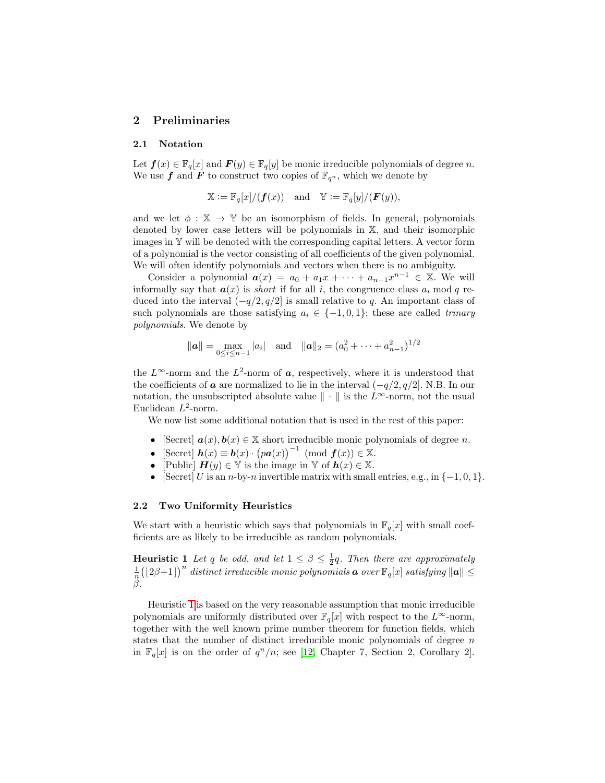### 2 Preliminaries

#### 2.1 Notation

Let  $f(x) \in \mathbb{F}_q[x]$  and  $F(y) \in \mathbb{F}_q[y]$  be monic irreducible polynomials of degree n. We use f and F to construct two copies of  $\mathbb{F}_{q^n}$ , which we denote by

$$
\mathbb{X} := \mathbb{F}_q[x]/(\boldsymbol{f}(x)) \quad \text{and} \quad \mathbb{Y} := \mathbb{F}_q[y]/(\boldsymbol{F}(y)),
$$

and we let  $\phi : \mathbb{X} \to \mathbb{Y}$  be an isomorphism of fields. In general, polynomials denoted by lower case letters will be polynomials in X, and their isomorphic images in Y will be denoted with the corresponding capital letters. A vector form of a polynomial is the vector consisting of all coefficients of the given polynomial. We will often identify polynomials and vectors when there is no ambiguity.

Consider a polynomial  $a(x) = a_0 + a_1x + \cdots + a_{n-1}x^{n-1} \in \mathbb{X}$ . We will informally say that  $a(x)$  is *short* if for all i, the congruence class  $a_i$  mod q reduced into the interval  $(-q/2, q/2]$  is small relative to q. An important class of such polynomials are those satisfying  $a_i \in \{-1,0,1\}$ ; these are called *trinary* polynomials. We denote by

$$
\|\boldsymbol{a}\| = \max_{0 \le i \le n-1} |a_i|
$$
 and  $\|\boldsymbol{a}\|_2 = (a_0^2 + \cdots + a_{n-1}^2)^{1/2}$ 

the  $L^{\infty}$ -norm and the  $L^{2}$ -norm of  $a$ , respectively, where it is understood that the coefficients of **a** are normalized to lie in the interval  $(-q/2, q/2]$ . N.B. In our notation, the unsubscripted absolute value  $\|\cdot\|$  is the L∞-norm, not the usual Euclidean  $L^2$ -norm.

We now list some additional notation that is used in the rest of this paper:

- [Secret]  $a(x), b(x) \in \mathbb{X}$  short irreducible monic polynomials of degree *n*.
- [Secret]  $h(x) \equiv b(x) \cdot (pa(x))^{-1} \pmod{f(x)} \in \mathbb{X}$ .
- [Public]  $\mathbf{H}(y) \in \mathbb{Y}$  is the image in  $\mathbb{Y}$  of  $\mathbf{h}(x) \in \mathbb{X}$ .
- [Secret] U is an n-by-n invertible matrix with small entries, e.g., in  $\{-1,0,1\}$ .

#### 2.2 Two Uniformity Heuristics

We start with a heuristic which says that polynomials in  $\mathbb{F}_q[x]$  with small coefficients are as likely to be irreducible as random polynomials.

<span id="page-3-0"></span>**Heuristic 1** Let q be odd, and let  $1 \leq \beta \leq \frac{1}{2}q$ . Then there are approximately **EXECUTE:** There  $q$  be one, and let  $1 \leq \beta \leq q$ . Then there are approximately  $\frac{1}{n} (\lfloor 2\beta + 1 \rfloor)^n$  distinct irreducible monic polynomials **a** over  $\mathbb{F}_q[x]$  satisfying  $||a|| \leq$ β.

Heuristic [1](#page-3-0) is based on the very reasonable assumption that monic irreducible polynomials are uniformly distributed over  $\mathbb{F}_q[x]$  with respect to the  $L^{\infty}$ -norm, together with the well known prime number theorem for function fields, which states that the number of distinct irreducible monic polynomials of degree  $n$ in  $\mathbb{F}_q[x]$  is on the order of  $q^n/n$ ; see [\[12,](#page-14-7) Chapter 7, Section 2, Corollary 2].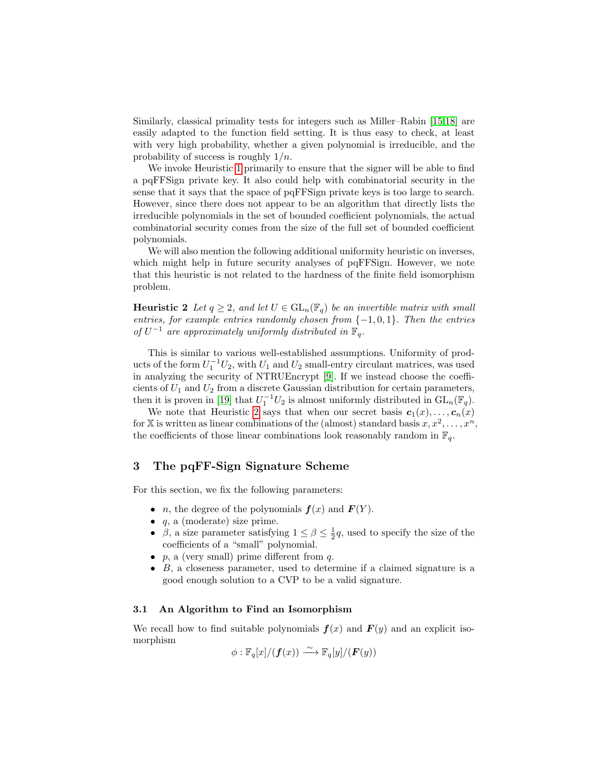Similarly, classical primality tests for integers such as Miller–Rabin [\[15,](#page-14-8)[18\]](#page-14-9) are easily adapted to the function field setting. It is thus easy to check, at least with very high probability, whether a given polynomial is irreducible, and the probability of success is roughly  $1/n$ .

We invoke Heuristic [1](#page-3-0) primarily to ensure that the signer will be able to find a pqFFSign private key. It also could help with combinatorial security in the sense that it says that the space of pqFFSign private keys is too large to search. However, since there does not appear to be an algorithm that directly lists the irreducible polynomials in the set of bounded coefficient polynomials, the actual combinatorial security comes from the size of the full set of bounded coefficient polynomials.

We will also mention the following additional uniformity heuristic on inverses, which might help in future security analyses of pqFFSign. However, we note that this heuristic is not related to the hardness of the finite field isomorphism problem.

<span id="page-4-0"></span>**Heuristic 2** Let  $q \geq 2$ , and let  $U \in GL_n(\mathbb{F}_q)$  be an invertible matrix with small entries, for example entries randomly chosen from  $\{-1,0,1\}$ . Then the entries of  $U^{-1}$  are approximately uniformly distributed in  $\mathbb{F}_q$ .

This is similar to various well-established assumptions. Uniformity of products of the form  $U_1^{-1}U_2$ , with  $U_1$  and  $U_2$  small-entry circulant matrices, was used in analyzing the security of NTRUEncrypt [\[9\]](#page-14-0). If we instead choose the coefficients of  $U_1$  and  $U_2$  from a discrete Gaussian distribution for certain parameters, then it is proven in [\[19\]](#page-14-10) that  $U_1^{-1}U_2$  is almost uniformly distributed in  $GL_n(\mathbb{F}_q)$ .

We note that Heuristic [2](#page-4-0) says that when our secret basis  $c_1(x), \ldots, c_n(x)$ for X is written as linear combinations of the (almost) standard basis  $x, x^2, \ldots, x^n$ , the coefficients of those linear combinations look reasonably random in  $\mathbb{F}_q$ .

## 3 The pqFF-Sign Signature Scheme

For this section, we fix the following parameters:

- *n*, the degree of the polynomials  $f(x)$  and  $F(Y)$ .
- $\bullet$  q, a (moderate) size prime.
- $\beta$ , a size parameter satisfying  $1 \leq \beta \leq \frac{1}{2}q$ , used to specify the size of the coefficients of a "small" polynomial.
- $p$ , a (very small) prime different from  $q$ .
- B, a closeness parameter, used to determine if a claimed signature is a good enough solution to a CVP to be a valid signature.

### <span id="page-4-1"></span>3.1 An Algorithm to Find an Isomorphism

We recall how to find suitable polynomials  $f(x)$  and  $F(y)$  and an explicit isomorphism

$$
\phi: \mathbb{F}_q[x]/(\boldsymbol{f}(x)) \xrightarrow{\sim} \mathbb{F}_q[y]/(\boldsymbol{F}(y))
$$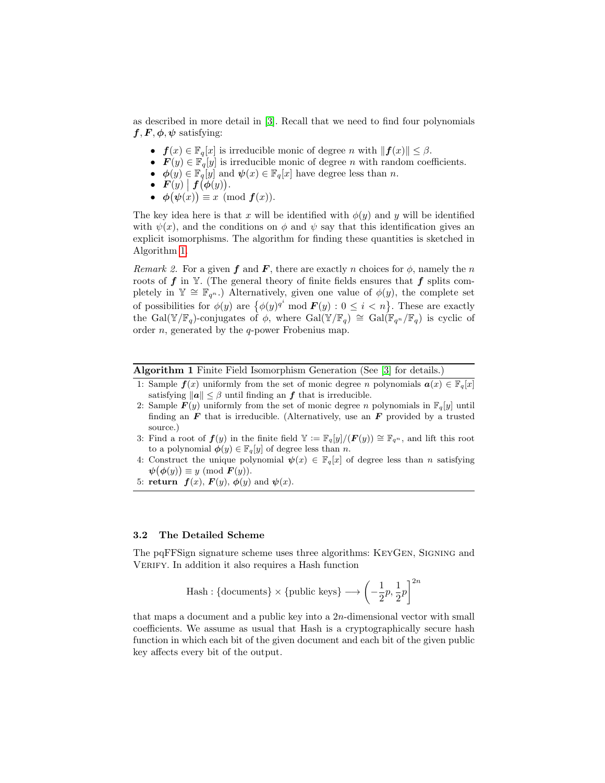as described in more detail in [\[3\]](#page-13-0). Recall that we need to find four polynomials  $f, F, \phi, \psi$  satisfying:

- $f(x) \in \mathbb{F}_q[x]$  is irreducible monic of degree n with  $||f(x)|| \leq \beta$ .
- $\mathbf{F}(y) \in \mathbb{F}_q[y]$  is irreducible monic of degree n with random coefficients.
- $\phi(y) \in \mathbb{F}_q[y]$  and  $\psi(x) \in \mathbb{F}_q[x]$  have degree less than n.
- $\mathbf{F}(y) | \mathbf{f}(\boldsymbol{\phi}(y)).$
- $\phi(\psi(x)) \equiv x \pmod{f(x)}$ .

The key idea here is that x will be identified with  $\phi(y)$  and y will be identified with  $\psi(x)$ , and the conditions on  $\phi$  and  $\psi$  say that this identification gives an explicit isomorphisms. The algorithm for finding these quantities is sketched in Algorithm [1.](#page-5-0)

Remark 2. For a given f and F, there are exactly n choices for  $\phi$ , namely the n roots of  $f$  in Y. (The general theory of finite fields ensures that  $f$  splits completely in  $\mathbb{Y} \cong \mathbb{F}_{q^n}$ .) Alternatively, given one value of  $\phi(y)$ , the complete set of possibilities for  $\phi(y)$  are  $\{\phi(y)^{q^i} \text{ mod } \mathbf{F}(y) : 0 \leq i \leq n\}$ . These are exactly the Gal(Y/F<sub>q</sub>)-conjugates of  $\phi$ , where Gal(Y/F<sub>q</sub>)  $\cong$  Gal(F<sub>q</sub><sup>n</sup>/F<sub>q</sub>) is cyclic of order *n*, generated by the *q*-power Frobenius map.

Algorithm 1 Finite Field Isomorphism Generation (See [\[3\]](#page-13-0) for details.)

- 1: Sample  $f(x)$  uniformly from the set of monic degree n polynomials  $a(x) \in \mathbb{F}_q[x]$ satisfying  $||a|| \leq \beta$  until finding an f that is irreducible.
- 2: Sample  $F(y)$  uniformly from the set of monic degree n polynomials in  $\mathbb{F}_q[y]$  until finding an  $\boldsymbol{F}$  that is irreducible. (Alternatively, use an  $\boldsymbol{F}$  provided by a trusted source.)
- 3: Find a root of  $f(y)$  in the finite field  $\mathbb{Y} := \mathbb{F}_q[y]/(F(y)) \cong \mathbb{F}_{q^n}$ , and lift this root to a polynomial  $\phi(y) \in \mathbb{F}_q[y]$  of degree less than *n*.
- <span id="page-5-0"></span>4: Construct the unique polynomial  $\psi(x) \in \mathbb{F}_q[x]$  of degree less than n satisfying  $\psi(\phi(y)) \equiv y \pmod{F(y)}$ .
- 5: return  $f(x)$ ,  $F(y)$ ,  $\phi(y)$  and  $\psi(x)$ .

#### 3.2 The Detailed Scheme

The pqFFSign signature scheme uses three algorithms: KeyGen, Signing and VERIFY. In addition it also requires a Hash function

$$
\textit{Hash}: \{\textit{documents}\} \times \{\textit{public keys}\} \longrightarrow \left(-\frac{1}{2}p, \frac{1}{2}p\right]^{2n}
$$

that maps a document and a public key into a  $2n$ -dimensional vector with small coefficients. We assume as usual that Hash is a cryptographically secure hash function in which each bit of the given document and each bit of the given public key affects every bit of the output.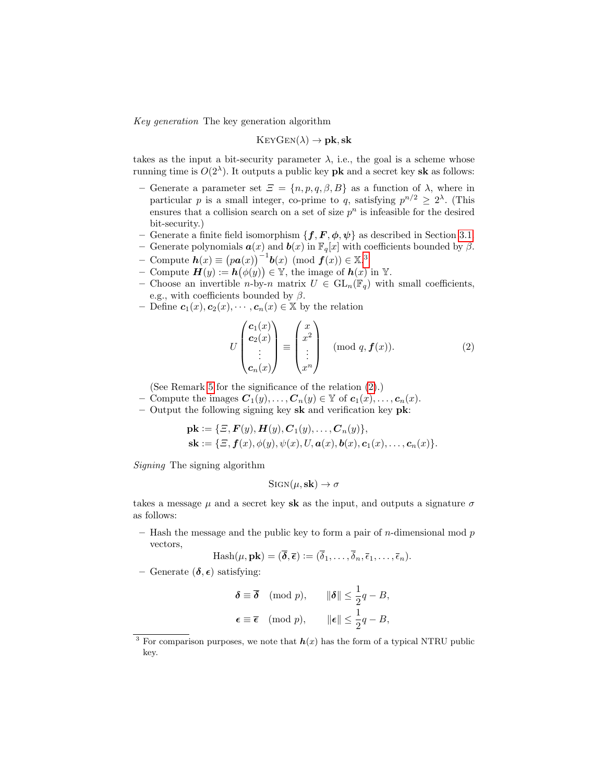Key generation The key generation algorithm

$$
\mathrm{Ker} \mathrm{Gen}(\lambda) \to \mathbf{pk}, \mathbf{sk}
$$

takes as the input a bit-security parameter  $\lambda$ , i.e., the goal is a scheme whose running time is  $O(2^{\lambda})$ . It outputs a public key **pk** and a secret key **sk** as follows:

- Generate a parameter set  $\mathcal{Z} = \{n, p, q, \beta, B\}$  as a function of  $\lambda$ , where in particular p is a small integer, co-prime to q, satisfying  $p^{n/2} \geq 2^{\lambda}$ . (This ensures that a collision search on a set of size  $p<sup>n</sup>$  is infeasible for the desired bit-security.)
- Generate a finite field isomorphism  $\{f, F, \phi, \psi\}$  as described in Section [3.1.](#page-4-1)

– Generate polynomials  $\boldsymbol{a}(x)$  and  $\boldsymbol{b}(x)$  in  $\mathbb{F}_q[x]$  with coefficients bounded by  $\beta$ .  $\overline{\mathbf{C}}$  Compute  $\mathbf{h}(x) \equiv (p\mathbf{a}(x))^{-1}\mathbf{b}(x) \pmod{f(x)} \in \mathbb{X}^3$  $\mathbf{h}(x) \equiv (p\mathbf{a}(x))^{-1}\mathbf{b}(x) \pmod{f(x)} \in \mathbb{X}^3$ 

- Compute  $\mathbf{H}(y) := \mathbf{h}(\phi(y)) \in \mathbb{Y}$ , the image of  $\mathbf{h}(x)$  in  $\mathbb{Y}$ .
- Choose an invertible *n*-by-*n* matrix  $U \in GL_n(\mathbb{F}_q)$  with small coefficients, e.g., with coefficients bounded by  $\beta$ .
- Define  $c_1(x), c_2(x), \cdots, c_n(x) \in \mathbb{X}$  by the relation

<span id="page-6-1"></span>
$$
U\begin{pmatrix} \mathbf{c}_1(x) \\ \mathbf{c}_2(x) \\ \vdots \\ \mathbf{c}_n(x) \end{pmatrix} \equiv \begin{pmatrix} x \\ x^2 \\ \vdots \\ x^n \end{pmatrix} \pmod{q, f(x)}.
$$
 (2)

(See Remark [5](#page-7-0) for the significance of the relation [\(2\)](#page-6-1).)

- Compute the images  $\mathbf{C}_1(y), \ldots, \mathbf{C}_n(y) \in \mathbb{Y}$  of  $\mathbf{c}_1(x), \ldots, \mathbf{c}_n(x)$ .
- Output the following signing key sk and verification key pk:

$$
\mathbf{pk} := \{ \Xi, \mathbf{F}(y), \mathbf{H}(y), \mathbf{C}_1(y), \dots, \mathbf{C}_n(y) \},
$$
  

$$
\mathbf{sk} := \{ \Xi, \mathbf{f}(x), \phi(y), \psi(x), U, \mathbf{a}(x), \mathbf{b}(x), \mathbf{c}_1(x), \dots, \mathbf{c}_n(x) \}.
$$

Signing The signing algorithm

$$
SIGN(\mu, s\mathbf{k}) \to \sigma
$$

takes a message  $\mu$  and a secret key sk as the input, and outputs a signature  $\sigma$ as follows:

– Hash the message and the public key to form a pair of  $n$ -dimensional mod  $p$ vectors,

$$
\operatorname{Hash}(\mu, \mathbf{pk}) = (\overline{\boldsymbol{\delta}}, \overline{\boldsymbol{\epsilon}}) := (\overline{\delta}_1, \dots, \overline{\delta}_n, \overline{\epsilon}_1, \dots, \overline{\epsilon}_n).
$$

– Generate  $(\delta, \epsilon)$  satisfying:

$$
\delta \equiv \overline{\delta} \pmod{p}, \qquad \|\delta\| \le \frac{1}{2}q - B,
$$
  

$$
\epsilon \equiv \overline{\epsilon} \pmod{p}, \qquad \|\epsilon\| \le \frac{1}{2}q - B,
$$

<span id="page-6-0"></span><sup>&</sup>lt;sup>3</sup> For comparison purposes, we note that  $h(x)$  has the form of a typical NTRU public key.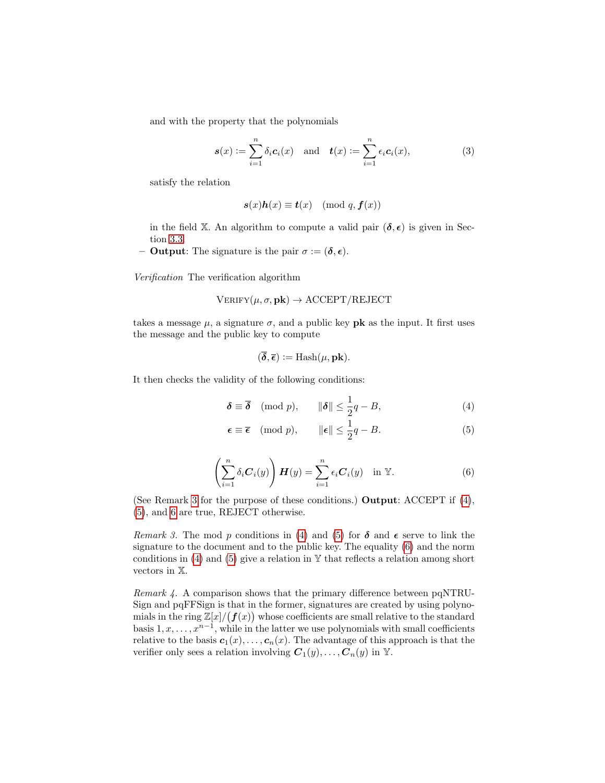and with the property that the polynomials

<span id="page-7-5"></span>
$$
\mathbf{s}(x) := \sum_{i=1}^{n} \delta_i \mathbf{c}_i(x) \quad \text{and} \quad \mathbf{t}(x) := \sum_{i=1}^{n} \epsilon_i \mathbf{c}_i(x), \tag{3}
$$

satisfy the relation

$$
s(x)h(x) \equiv t(x) \pmod{q, f(x)}
$$

in the field X. An algorithm to compute a valid pair  $(\delta, \epsilon)$  is given in Section [3.3.](#page-8-0)

**– Output:** The signature is the pair  $\sigma := (\delta, \epsilon)$ .

Verification The verification algorithm

$$
VERIFY(\mu, \sigma, \mathbf{pk}) \rightarrow ACCEPT/REJECT
$$

takes a message  $\mu$ , a signature  $\sigma$ , and a public key **pk** as the input. It first uses the message and the public key to compute

<span id="page-7-3"></span><span id="page-7-2"></span>
$$
(\overline{\delta}, \overline{\epsilon}) :=
$$
Hash( $\mu$ , **pk**).

It then checks the validity of the following conditions:

$$
\delta \equiv \overline{\delta} \pmod{p}, \qquad \|\delta\| \le \frac{1}{2}q - B,\tag{4}
$$

$$
\epsilon \equiv \overline{\epsilon} \pmod{p}, \qquad \|\epsilon\| \le \frac{1}{2}q - B. \tag{5}
$$

$$
\left(\sum_{i=1}^{n} \delta_i \mathbf{C}_i(y)\right) \boldsymbol{H}(y) = \sum_{i=1}^{n} \epsilon_i \mathbf{C}_i(y) \quad \text{in } \mathbb{Y}.
$$
 (6)

<span id="page-7-4"></span>(See Remark [3](#page-7-1) for the purpose of these conditions.) Output: ACCEPT if [\(4\)](#page-7-2), [\(5\)](#page-7-3), and [6](#page-7-4) are true, REJECT otherwise.

<span id="page-7-1"></span>Remark 3. The mod p conditions in [\(4\)](#page-7-2) and [\(5\)](#page-7-3) for  $\delta$  and  $\epsilon$  serve to link the signature to the document and to the public key. The equality [\(6\)](#page-7-4) and the norm conditions in [\(4\)](#page-7-2) and [\(5\)](#page-7-3) give a relation in  $\mathbb {Y}$  that reflects a relation among short vectors in X.

<span id="page-7-0"></span>Remark 4. A comparison shows that the primary difference between pqNTRU-Sign and pqFFSign is that in the former, signatures are created by using polynomials in the ring  $\mathbb{Z}[x]/(f(x))$  whose coefficients are small relative to the standard basis  $1, x, \ldots, x^{n-1}$ , while in the latter we use polynomials with small coefficients relative to the basis  $c_1(x), \ldots, c_n(x)$ . The advantage of this approach is that the verifier only sees a relation involving  $C_1(y), \ldots, C_n(y)$  in Y.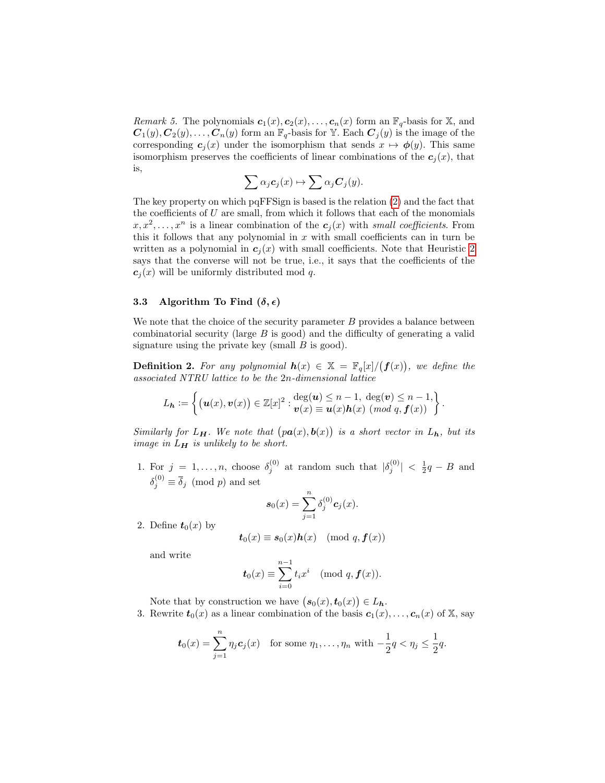*Remark 5.* The polynomials  $c_1(x), c_2(x), \ldots, c_n(x)$  form an  $\mathbb{F}_q$ -basis for X, and  $C_1(y), C_2(y), \ldots, C_n(y)$  form an  $\mathbb{F}_q$ -basis for Y. Each  $C_j(y)$  is the image of the corresponding  $c_j(x)$  under the isomorphism that sends  $x \mapsto \phi(y)$ . This same isomorphism preserves the coefficients of linear combinations of the  $c_j(x)$ , that is,

$$
\sum \alpha_j c_j(x) \mapsto \sum \alpha_j C_j(y).
$$

The key property on which pqFFSign is based is the relation [\(2\)](#page-6-1) and the fact that the coefficients of  $U$  are small, from which it follows that each of the monomials  $x, x^2, \ldots, x^n$  is a linear combination of the  $c_j(x)$  with small coefficients. From this it follows that any polynomial in  $x$  with small coefficients can in turn be written as a polynomial in  $c_i(x)$  with small coefficients. Note that Heuristic [2](#page-4-0) says that the converse will not be true, i.e., it says that the coefficients of the  $c_i(x)$  will be uniformly distributed mod q.

#### <span id="page-8-0"></span>3.3 Algorithm To Find  $(\delta, \epsilon)$

We note that the choice of the security parameter  $B$  provides a balance between combinatorial security (large B is good) and the difficulty of generating a valid signature using the private key (small  $B$  is good).

**Definition 2.** For any polynomial  $h(x) \in \mathbb{X} = \mathbb{F}_q[x]/(f(x))$ , we define the associated NTRU lattice to be the 2n-dimensional lattice

$$
L_{\mathbf{h}} := \left\{ (\boldsymbol{u}(x), \boldsymbol{v}(x)) \in \mathbb{Z}[x]^2 : \frac{\deg(\boldsymbol{u}) \leq n-1, \ \deg(\boldsymbol{v}) \leq n-1,}{\boldsymbol{v}(x) \equiv \boldsymbol{u}(x) \boldsymbol{h}(x) \ (\text{mod } q, \boldsymbol{f}(x))} \right\}.
$$

Similarly for  $L_H$ . We note that  $(pa(x), b(x))$  is a short vector in  $L_h$ , but its image in  $L_H$  is unlikely to be short.

1. For  $j = 1, ..., n$ , choose  $\delta_j^{(0)}$  at random such that  $|\delta_j^{(0)}| < \frac{1}{2}q - B$  and  $\delta_j^{(0)} \equiv \overline{\delta}_j \pmod{p}$  and set

$$
\mathbf{s}_0(x) = \sum_{j=1}^n \delta_j^{(0)} \mathbf{c}_j(x).
$$

2. Define  $t_0(x)$  by

$$
\mathbf{t}_0(x) \equiv \mathbf{s}_0(x) \mathbf{h}(x) \pmod{q, \mathbf{f}(x)}
$$

and write

$$
\boldsymbol{t}_0(x) \equiv \sum_{i=0}^{n-1} t_i x^i \pmod{q, \boldsymbol{f}(x)}.
$$

Note that by construction we have  $(s_0(x), t_0(x)) \in L_h$ .

3. Rewrite  $t_0(x)$  as a linear combination of the basis  $c_1(x), \ldots, c_n(x)$  of X, say

$$
\mathbf{t}_0(x) = \sum_{j=1}^n \eta_j \mathbf{c}_j(x) \quad \text{for some } \eta_1, \dots, \eta_n \text{ with } -\frac{1}{2}q < \eta_j \leq \frac{1}{2}q.
$$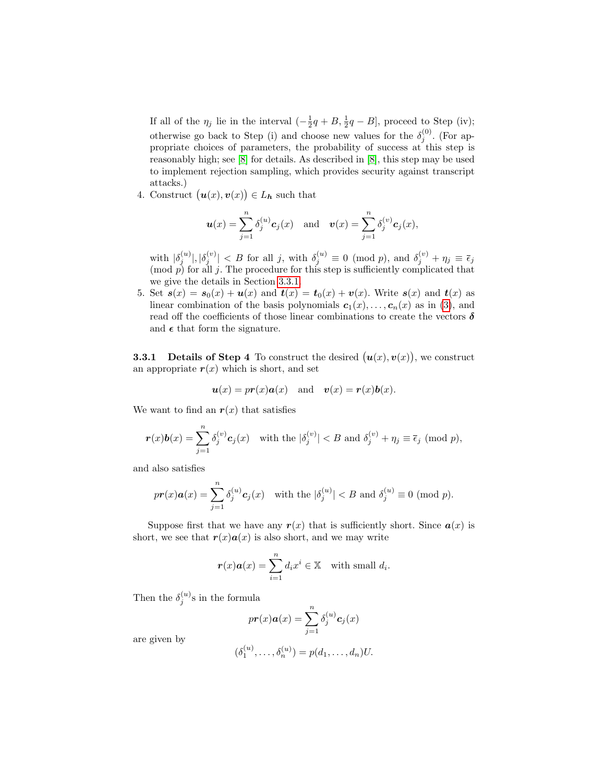If all of the  $\eta_j$  lie in the interval  $\left(-\frac{1}{2}q + B, \frac{1}{2}q - B\right]$ , proceed to Step (iv); otherwise go back to Step (i) and choose new values for the  $\delta_j^{(0)}$ . (For appropriate choices of parameters, the probability of success at this step is reasonably high; see [\[8\]](#page-13-1) for details. As described in [\[8\]](#page-13-1), this step may be used to implement rejection sampling, which provides security against transcript attacks.)

4. Construct  $(\mathbf{u}(x), \mathbf{v}(x)) \in L_h$  such that

$$
\boldsymbol{u}(x) = \sum_{j=1}^n \delta_j^{(u)} \boldsymbol{c}_j(x) \quad \text{and} \quad \boldsymbol{v}(x) = \sum_{j=1}^n \delta_j^{(v)} \boldsymbol{c}_j(x),
$$

with  $|\delta_j^{(u)}|, |\delta_j^{(v)}| < B$  for all j, with  $\delta_j^{(u)} \equiv 0 \pmod{p}$ , and  $\delta_j^{(v)} + \eta_j \equiv \bar{\epsilon}_j$  $p$  for all j. The procedure for this step is sufficiently complicated that we give the details in Section [3.3.1.](#page-9-0)

5. Set  $s(x) = s_0(x) + u(x)$  and  $t(x) = t_0(x) + v(x)$ . Write  $s(x)$  and  $t(x)$  as linear combination of the basis polynomials  $c_1(x), \ldots, c_n(x)$  as in [\(3\)](#page-7-5), and read off the coefficients of those linear combinations to create the vectors  $\delta$ and  $\epsilon$  that form the signature.

<span id="page-9-0"></span>**3.3.1** Details of Step 4 To construct the desired  $(u(x), v(x))$ , we construct an appropriate  $r(x)$  which is short, and set

$$
u(x) = pr(x)a(x) \text{ and } v(x) = r(x)b(x).
$$

We want to find an  $r(x)$  that satisfies

$$
\mathbf{r}(x)\mathbf{b}(x) = \sum_{j=1}^{n} \delta_j^{(v)} c_j(x) \quad \text{with the } |\delta_j^{(v)}| < B \text{ and } \delta_j^{(v)} + \eta_j \equiv \bar{\epsilon}_j \pmod{p},
$$

and also satisfies

$$
pr(x)\mathbf{a}(x) = \sum_{j=1}^{n} \delta_j^{(u)} c_j(x) \quad \text{with the } |\delta_j^{(u)}| < B \text{ and } \delta_j^{(u)} \equiv 0 \pmod{p}.
$$

Suppose first that we have any  $r(x)$  that is sufficiently short. Since  $a(x)$  is short, we see that  $r(x)a(x)$  is also short, and we may write

$$
\boldsymbol{r}(x)\boldsymbol{a}(x) = \sum_{i=1}^{n} d_i x^i \in \mathbb{X} \text{ with small } d_i.
$$

Then the  $\delta_j^{(u)}$ s in the formula

$$
pr(x)\mathbf{a}(x) = \sum_{j=1}^{n} \delta_j^{(u)} \mathbf{c}_j(x)
$$

are given by

$$
(\delta_1^{(u)},\ldots,\delta_n^{(u)})=p(d_1,\ldots,d_n)U.
$$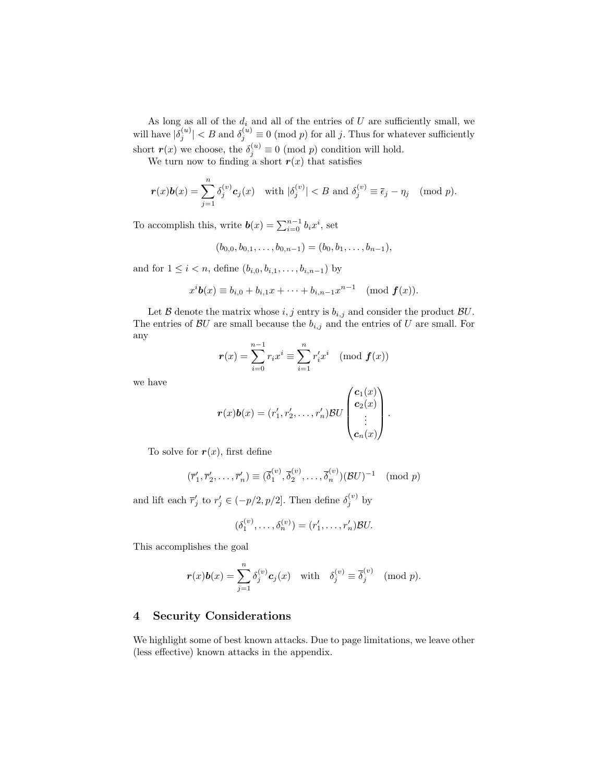As long as all of the  $d_i$  and all of the entries of U are sufficiently small, we will have  $|\delta_j^{(u)}| < B$  and  $\delta_j^{(u)} \equiv 0 \pmod{p}$  for all j. Thus for whatever sufficiently short  $\mathbf{r}(x)$  we choose, the  $\delta_j^{(u)} \equiv 0 \pmod{p}$  condition will hold.

We turn now to finding a short  $r(x)$  that satisfies

$$
\mathbf{r}(x)\mathbf{b}(x) = \sum_{j=1}^{n} \delta_j^{(v)} c_j(x) \quad \text{with } |\delta_j^{(v)}| < B \text{ and } \delta_j^{(v)} \equiv \overline{\epsilon}_j - \eta_j \pmod{p}.
$$

To accomplish this, write  $\boldsymbol{b}(x) = \sum_{i=0}^{n-1} b_i x^i$ , set

$$
(b_{0,0}, b_{0,1}, \ldots, b_{0,n-1}) = (b_0, b_1, \ldots, b_{n-1}),
$$

and for  $1 \le i < n$ , define  $(b_{i,0}, b_{i,1}, \ldots, b_{i,n-1})$  by

$$
x^i\mathbf{b}(x) \equiv b_{i,0} + b_{i,1}x + \cdots + b_{i,n-1}x^{n-1} \pmod{\mathbf{f}(x)}.
$$

Let B denote the matrix whose  $i, j$  entry is  $b_{i,j}$  and consider the product  $BU$ . The entries of  $BU$  are small because the  $b_{i,j}$  and the entries of U are small. For any

$$
r(x) = \sum_{i=0}^{n-1} r_i x^i \equiv \sum_{i=1}^n r'_i x^i \pmod{f(x)}
$$

we have

$$
\boldsymbol{r}(x)\boldsymbol{b}(x)=(r'_1,r'_2,\ldots,r'_n)\mathcal{B}U\begin{pmatrix}\boldsymbol{c}_1(x)\\ \boldsymbol{c}_2(x)\\ \vdots\\ \boldsymbol{c}_n(x)\end{pmatrix}.
$$

To solve for  $r(x)$ , first define

$$
(\overline{r}'_1, \overline{r}'_2, \dots, \overline{r}'_n) \equiv (\overline{\delta}_1^{(v)}, \overline{\delta}_2^{(v)}, \dots, \overline{\delta}_n^{(v)}) (\mathcal{B}U)^{-1} \pmod{p}
$$

and lift each  $\bar{r}'_j$  to  $r'_j \in (-p/2, p/2]$ . Then define  $\delta_j^{(v)}$  by

$$
(\delta_1^{(v)}, \ldots, \delta_n^{(v)}) = (r'_1, \ldots, r'_n) \mathcal{B} U.
$$

This accomplishes the goal

$$
\boldsymbol{r}(x)\boldsymbol{b}(x)=\sum_{j=1}^n \delta_j^{(v)} \boldsymbol{c}_j(x) \quad \text{with} \quad \delta_j^{(v)}\equiv \overline{\delta}_j^{(v)} \pmod{p}.
$$

### 4 Security Considerations

We highlight some of best known attacks. Due to page limitations, we leave other (less effective) known attacks in the appendix.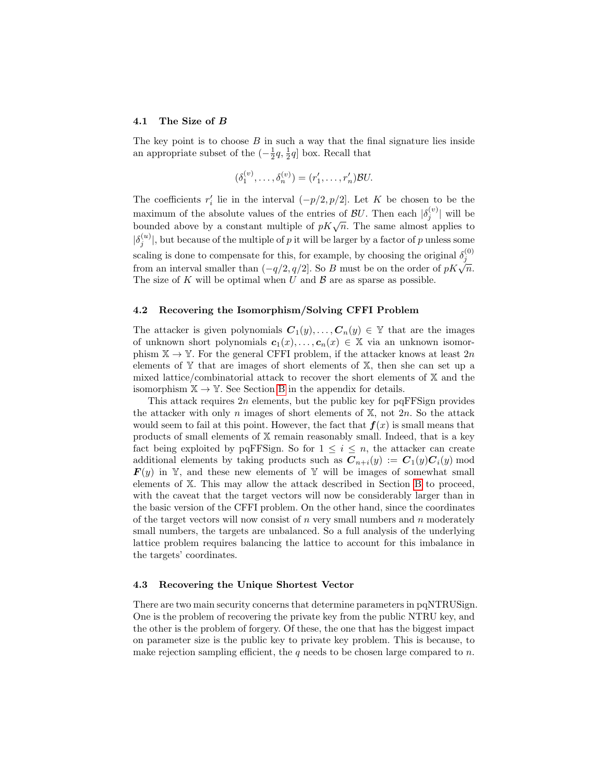#### 4.1 The Size of B

The key point is to choose  $B$  in such a way that the final signature lies inside an appropriate subset of the  $\left(-\frac{1}{2}q, \frac{1}{2}q\right]$  box. Recall that

$$
(\delta_1^{(v)}, \ldots, \delta_n^{(v)}) = (r'_1, \ldots, r'_n) \mathcal{B} U.
$$

The coefficients  $r'_i$  lie in the interval  $(-p/2, p/2]$ . Let K be chosen to be the maximum of the absolute values of the entries of  $\mathcal{B}U$ . Then each  $|\delta_j^{(v)}|$  will be bounded above by a constant multiple of  $pK\sqrt{n}$ . The same almost applies to  $|\delta_j^{(u)}|$ , but because of the multiple of p it will be larger by a factor of p unless some scaling is done to compensate for this, for example, by choosing the original  $\delta_j^{(0)}$ from an interval smaller than  $(-q/2, q/2]$ . So B must be on the order of  $pK\sqrt{n}$ . The size of K will be optimal when  $U$  and  $\beta$  are as sparse as possible.

#### <span id="page-11-0"></span>4.2 Recovering the Isomorphism/Solving CFFI Problem

The attacker is given polynomials  $C_1(y), \ldots, C_n(y) \in \mathbb{Y}$  that are the images of unknown short polynomials  $c_1(x), \ldots, c_n(x) \in \mathbb{X}$  via an unknown isomorphism  $\mathbb{X} \to \mathbb{Y}$ . For the general CFFI problem, if the attacker knows at least  $2n$ elements of  $Y$  that are images of short elements of  $X$ , then she can set up a mixed lattice/combinatorial attack to recover the short elements of X and the isomorphism  $X \to Y$ . See Section [B](#page-15-0) in the appendix for details.

This attack requires  $2n$  elements, but the public key for pqFFSign provides the attacker with only n images of short elements of  $X$ , not  $2n$ . So the attack would seem to fail at this point. However, the fact that  $f(x)$  is small means that products of small elements of X remain reasonably small. Indeed, that is a key fact being exploited by pqFFSign. So for  $1 \leq i \leq n$ , the attacker can create additional elements by taking products such as  $C_{n+i}(y) := C_1(y)C_i(y)$  mod  $\mathbf{F}(y)$  in Y, and these new elements of Y will be images of somewhat small elements of X. This may allow the attack described in Section [B](#page-15-0) to proceed, with the caveat that the target vectors will now be considerably larger than in the basic version of the CFFI problem. On the other hand, since the coordinates of the target vectors will now consist of  $n$  very small numbers and  $n$  moderately small numbers, the targets are unbalanced. So a full analysis of the underlying lattice problem requires balancing the lattice to account for this imbalance in the targets' coordinates.

#### 4.3 Recovering the Unique Shortest Vector

There are two main security concerns that determine parameters in pqNTRUSign. One is the problem of recovering the private key from the public NTRU key, and the other is the problem of forgery. Of these, the one that has the biggest impact on parameter size is the public key to private key problem. This is because, to make rejection sampling efficient, the q needs to be chosen large compared to  $n$ .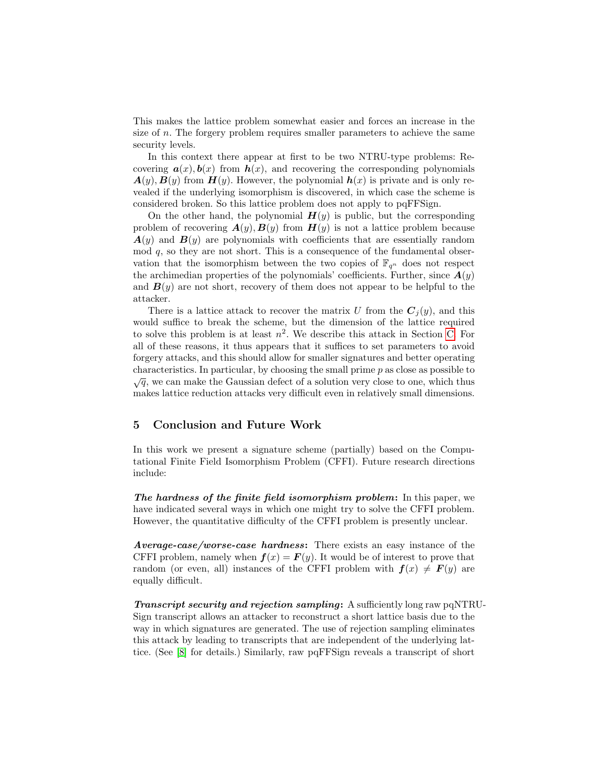This makes the lattice problem somewhat easier and forces an increase in the size of n. The forgery problem requires smaller parameters to achieve the same security levels.

In this context there appear at first to be two NTRU-type problems: Recovering  $a(x)$ ,  $b(x)$  from  $h(x)$ , and recovering the corresponding polynomials  $\mathbf{A}(y), \mathbf{B}(y)$  from  $\mathbf{H}(y)$ . However, the polynomial  $\mathbf{h}(x)$  is private and is only revealed if the underlying isomorphism is discovered, in which case the scheme is considered broken. So this lattice problem does not apply to pqFFSign.

On the other hand, the polynomial  $H(y)$  is public, but the corresponding problem of recovering  $A(y), B(y)$  from  $H(y)$  is not a lattice problem because  $A(y)$  and  $B(y)$  are polynomials with coefficients that are essentially random  $\mod q$ , so they are not short. This is a consequence of the fundamental observation that the isomorphism between the two copies of  $\mathbb{F}_{q^n}$  does not respect the archimedian properties of the polynomials' coefficients. Further, since  $\mathbf{A}(y)$ and  $\mathbf{B}(y)$  are not short, recovery of them does not appear to be helpful to the attacker.

There is a lattice attack to recover the matrix U from the  $C_i(y)$ , and this would suffice to break the scheme, but the dimension of the lattice required to solve this problem is at least  $n^2$ . We describe this attack in Section [C.](#page-17-0) For all of these reasons, it thus appears that it suffices to set parameters to avoid forgery attacks, and this should allow for smaller signatures and better operating characteristics. In particular, by choosing the small prime  $p$  as close as possible to  $\sqrt{q}$ , we can make the Gaussian defect of a solution very close to one, which thus makes lattice reduction attacks very difficult even in relatively small dimensions.

### 5 Conclusion and Future Work

In this work we present a signature scheme (partially) based on the Computational Finite Field Isomorphism Problem (CFFI). Future research directions include:

The hardness of the finite field isomorphism problem: In this paper, we have indicated several ways in which one might try to solve the CFFI problem. However, the quantitative difficulty of the CFFI problem is presently unclear.

Average-case/worse-case hardness: There exists an easy instance of the CFFI problem, namely when  $f(x) = F(y)$ . It would be of interest to prove that random (or even, all) instances of the CFFI problem with  $f(x) \neq F(y)$  are equally difficult.

Transcript security and rejection sampling: A sufficiently long raw pqNTRU-Sign transcript allows an attacker to reconstruct a short lattice basis due to the way in which signatures are generated. The use of rejection sampling eliminates this attack by leading to transcripts that are independent of the underlying lattice. (See [\[8\]](#page-13-1) for details.) Similarly, raw pqFFSign reveals a transcript of short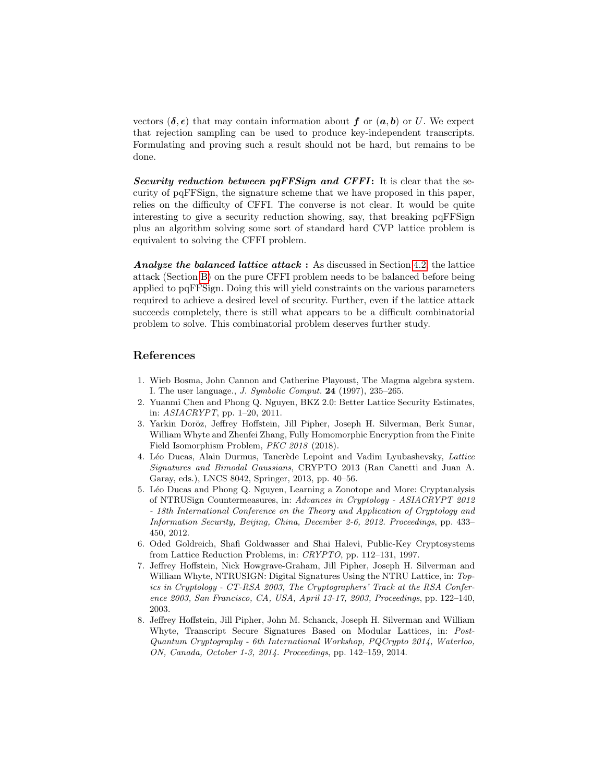vectors  $(\delta, \epsilon)$  that may contain information about f or  $(a, b)$  or U. We expect that rejection sampling can be used to produce key-independent transcripts. Formulating and proving such a result should not be hard, but remains to be done.

Security reduction between pqFFSign and CFFI: It is clear that the security of pqFFSign, the signature scheme that we have proposed in this paper, relies on the difficulty of CFFI. The converse is not clear. It would be quite interesting to give a security reduction showing, say, that breaking pqFFSign plus an algorithm solving some sort of standard hard CVP lattice problem is equivalent to solving the CFFI problem.

Analyze the balanced lattice attack : As discussed in Section [4.2,](#page-11-0) the lattice attack (Section [B\)](#page-15-0) on the pure CFFI problem needs to be balanced before being applied to pqFFSign. Doing this will yield constraints on the various parameters required to achieve a desired level of security. Further, even if the lattice attack succeeds completely, there is still what appears to be a difficult combinatorial problem to solve. This combinatorial problem deserves further study.

## References

- <span id="page-13-7"></span>1. Wieb Bosma, John Cannon and Catherine Playoust, The Magma algebra system. I. The user language., J. Symbolic Comput. 24 (1997), 235–265.
- <span id="page-13-6"></span>2. Yuanmi Chen and Phong Q. Nguyen, BKZ 2.0: Better Lattice Security Estimates, in: ASIACRYPT, pp. 1–20, 2011.
- <span id="page-13-0"></span>3. Yarkin Doröz, Jeffrey Hoffstein, Jill Pipher, Joseph H. Silverman, Berk Sunar, William Whyte and Zhenfei Zhang, Fully Homomorphic Encryption from the Finite Field Isomorphism Problem, PKC 2018 (2018).
- <span id="page-13-2"></span>4. Léo Ducas, Alain Durmus, Tancrède Lepoint and Vadim Lyubashevsky, Lattice Signatures and Bimodal Gaussians, CRYPTO 2013 (Ran Canetti and Juan A. Garay, eds.), LNCS 8042, Springer, 2013, pp. 40–56.
- <span id="page-13-5"></span>5. L´eo Ducas and Phong Q. Nguyen, Learning a Zonotope and More: Cryptanalysis of NTRUSign Countermeasures, in: Advances in Cryptology - ASIACRYPT 2012 - 18th International Conference on the Theory and Application of Cryptology and Information Security, Beijing, China, December 2-6, 2012. Proceedings, pp. 433– 450, 2012.
- <span id="page-13-3"></span>6. Oded Goldreich, Shafi Goldwasser and Shai Halevi, Public-Key Cryptosystems from Lattice Reduction Problems, in: CRYPTO, pp. 112–131, 1997.
- <span id="page-13-4"></span>7. Jeffrey Hoffstein, Nick Howgrave-Graham, Jill Pipher, Joseph H. Silverman and William Whyte, NTRUSIGN: Digital Signatures Using the NTRU Lattice, in: Topics in Cryptology - CT-RSA 2003, The Cryptographers' Track at the RSA Conference 2003, San Francisco, CA, USA, April 13-17, 2003, Proceedings, pp. 122–140, 2003.
- <span id="page-13-1"></span>8. Jeffrey Hoffstein, Jill Pipher, John M. Schanck, Joseph H. Silverman and William Whyte, Transcript Secure Signatures Based on Modular Lattices, in: Post-Quantum Cryptography - 6th International Workshop, PQCrypto 2014, Waterloo, ON, Canada, October 1-3, 2014. Proceedings, pp. 142–159, 2014.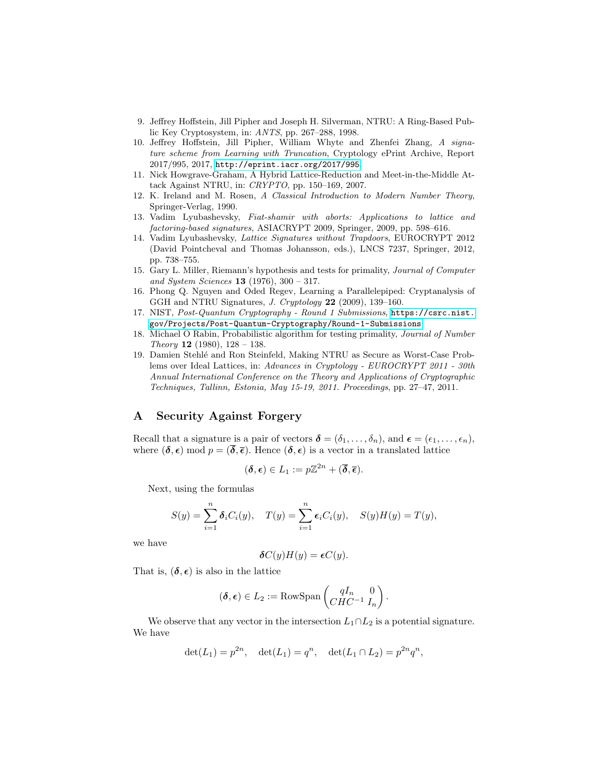- <span id="page-14-0"></span>9. Jeffrey Hoffstein, Jill Pipher and Joseph H. Silverman, NTRU: A Ring-Based Public Key Cryptosystem, in: ANTS, pp. 267–288, 1998.
- <span id="page-14-1"></span>10. Jeffrey Hoffstein, Jill Pipher, William Whyte and Zhenfei Zhang, A signature scheme from Learning with Truncation, Cryptology ePrint Archive, Report 2017/995, 2017, <http://eprint.iacr.org/2017/995>.
- <span id="page-14-3"></span>11. Nick Howgrave-Graham, A Hybrid Lattice-Reduction and Meet-in-the-Middle Attack Against NTRU, in: CRYPTO, pp. 150–169, 2007.
- <span id="page-14-7"></span>12. K. Ireland and M. Rosen, A Classical Introduction to Modern Number Theory, Springer-Verlag, 1990.
- <span id="page-14-4"></span>13. Vadim Lyubashevsky, Fiat-shamir with aborts: Applications to lattice and factoring-based signatures, ASIACRYPT 2009, Springer, 2009, pp. 598–616.
- <span id="page-14-6"></span>14. Vadim Lyubashevsky, Lattice Signatures without Trapdoors, EUROCRYPT 2012 (David Pointcheval and Thomas Johansson, eds.), LNCS 7237, Springer, 2012, pp. 738–755.
- <span id="page-14-8"></span>15. Gary L. Miller, Riemann's hypothesis and tests for primality, Journal of Computer and System Sciences 13 (1976), 300 – 317.
- <span id="page-14-5"></span>16. Phong Q. Nguyen and Oded Regev, Learning a Parallelepiped: Cryptanalysis of GGH and NTRU Signatures, J. Cryptology 22 (2009), 139–160.
- <span id="page-14-2"></span>17. NIST, Post-Quantum Cryptography - Round 1 Submissions, [https://csrc.nist.](https://csrc.nist.gov/Projects/Post-Quantum-Cryptography/Round-1-Submissions) [gov/Projects/Post-Quantum-Cryptography/Round-1-Submissions](https://csrc.nist.gov/Projects/Post-Quantum-Cryptography/Round-1-Submissions).
- <span id="page-14-9"></span>18. Michael O Rabin, Probabilistic algorithm for testing primality, Journal of Number Theory 12 (1980),  $128 - 138$ .
- <span id="page-14-10"></span>19. Damien Stehl´e and Ron Steinfeld, Making NTRU as Secure as Worst-Case Problems over Ideal Lattices, in: Advances in Cryptology - EUROCRYPT 2011 - 30th Annual International Conference on the Theory and Applications of Cryptographic Techniques, Tallinn, Estonia, May 15-19, 2011. Proceedings, pp. 27–47, 2011.

### A Security Against Forgery

Recall that a signature is a pair of vectors  $\boldsymbol{\delta} = (\delta_1, \ldots, \delta_n)$ , and  $\boldsymbol{\epsilon} = (\epsilon_1, \ldots, \epsilon_n)$ , where  $(\delta, \epsilon)$  mod  $p = (\overline{\delta}, \overline{\epsilon})$ . Hence  $(\delta, \epsilon)$  is a vector in a translated lattice

$$
(\delta,\epsilon)\in L_1:=p\mathbb{Z}^{2n}+(\overline{\delta},\overline{\epsilon}).
$$

Next, using the formulas

$$
S(y) = \sum_{i=1}^{n} \delta_i C_i(y), \quad T(y) = \sum_{i=1}^{n} \epsilon_i C_i(y), \quad S(y)H(y) = T(y),
$$

we have

$$
\delta C(y)H(y) = \epsilon C(y).
$$

That is,  $(\delta, \epsilon)$  is also in the lattice

$$
(\boldsymbol{\delta}, \boldsymbol{\epsilon}) \in L_2 := \text{RowSpan}\left(\begin{matrix} qI_n & 0\\CHC^{-1} & I_n \end{matrix}\right).
$$

We observe that any vector in the intersection  $L_1 \cap L_2$  is a potential signature. We have

$$
\det(L_1) = p^{2n}, \quad \det(L_1) = q^n, \quad \det(L_1 \cap L_2) = p^{2n} q^n,
$$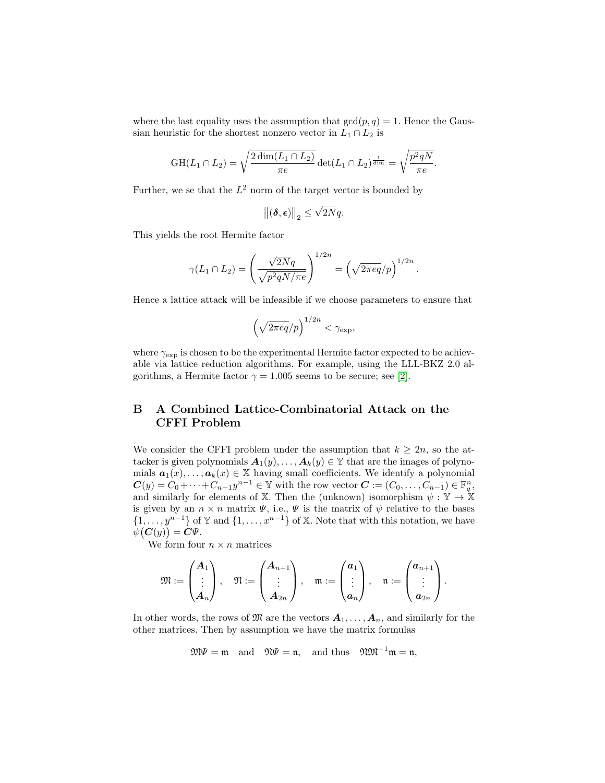where the last equality uses the assumption that  $gcd(p, q) = 1$ . Hence the Gaussian heuristic for the shortest nonzero vector in  $L_1 \cap L_2$  is

$$
GH(L_1 \cap L_2) = \sqrt{\frac{2 \dim(L_1 \cap L_2)}{\pi e}} \det(L_1 \cap L_2)^{\frac{1}{\dim}} = \sqrt{\frac{p^2 q N}{\pi e}}.
$$

Further, we se that the  $L^2$  norm of the target vector is bounded by

$$
\left\|(\boldsymbol{\delta},\boldsymbol{\epsilon})\right\|_2 \leq \sqrt{2N}q.
$$

This yields the root Hermite factor

$$
\gamma(L_1 \cap L_2) = \left(\frac{\sqrt{2N}q}{\sqrt{p^2qN/\pi e}}\right)^{1/2n} = \left(\sqrt{2\pi eq}/p\right)^{1/2n}.
$$

Hence a lattice attack will be infeasible if we choose parameters to ensure that

$$
\left(\sqrt{2\pi eq}/p\right)^{1/2n} < \gamma_{\exp},
$$

where  $\gamma_{\rm exp}$  is chosen to be the experimental Hermite factor expected to be achievable via lattice reduction algorithms. For example, using the LLL-BKZ 2.0 algorithms, a Hermite factor  $\gamma = 1.005$  seems to be secure; see [\[2\]](#page-13-6).

# <span id="page-15-0"></span>B A Combined Lattice-Combinatorial Attack on the CFFI Problem

We consider the CFFI problem under the assumption that  $k \geq 2n$ , so the attacker is given polynomials  $A_1(y), \ldots, A_k(y) \in \mathbb{Y}$  that are the images of polynomials  $a_1(x), \ldots, a_k(x) \in \mathbb{X}$  having small coefficients. We identify a polynomial  $\mathbf{C}(y) = C_0 + \cdots + C_{n-1}y^{n-1} \in \mathbb{Y}$  with the row vector  $\mathbf{C} := (C_0, \ldots, C_{n-1}) \in \mathbb{F}_q^n$ , and similarly for elements of X. Then the (unknown) isomorphism  $\psi : \mathbb{Y} \to \mathbb{X}$ is given by an  $n \times n$  matrix  $\Psi$ , i.e.,  $\Psi$  is the matrix of  $\psi$  relative to the bases  $\{1, \ldots, y^{n-1}\}\$  of Y and  $\{1, \ldots, x^{n-1}\}\$  of X. Note that with this notation, we have  $\psi(\boldsymbol{C}(y)) = \boldsymbol{C}\Psi.$ 

We form four  $n \times n$  matrices

$$
\mathfrak{M}:=\begin{pmatrix}{A_{1}}\\ \vdots\\ {A_{n}}\end{pmatrix},\quad \mathfrak{N}:=\begin{pmatrix}{A_{n+1}}\\ \vdots\\ {A_{2n}}\end{pmatrix},\quad \mathfrak{m}:=\begin{pmatrix}{a_{1}}\\ \vdots\\ {a_{n}}\end{pmatrix},\quad \mathfrak{n}:=\begin{pmatrix}{a_{n+1}}\\ \vdots\\ {a_{2n}}\end{pmatrix}.
$$

In other words, the rows of  $\mathfrak{M}$  are the vectors  $A_1, \ldots, A_n$ , and similarly for the other matrices. Then by assumption we have the matrix formulas

$$
\mathfrak{M}\Psi=\mathfrak{m}\quad\text{and}\quad\mathfrak{N}\Psi=\mathfrak{n},\quad\text{and thus}\quad\mathfrak{N}\mathfrak{M}^{-1}\mathfrak{m}=\mathfrak{n},
$$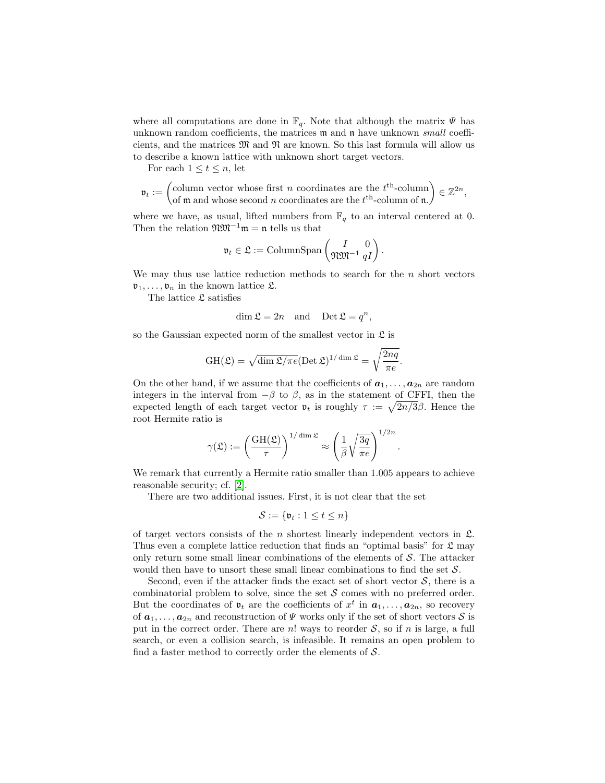where all computations are done in  $\mathbb{F}_q$ . Note that although the matrix  $\Psi$  has unknown random coefficients, the matrices  $m$  and  $n$  have unknown *small* coefficients, and the matrices  $\mathfrak{M}$  and  $\mathfrak{N}$  are known. So this last formula will allow us to describe a known lattice with unknown short target vectors.

For each  $1 \leq t \leq n$ , let

$$
\mathfrak{v}_t := \begin{pmatrix} \text{column vector whose first } n \text{ coordinates are the } t^{\text{th}}\text{-column} \\ \text{of } \mathfrak{m} \text{ and whose second } n \text{ coordinates are the } t^{\text{th}}\text{-column of } \mathfrak{n}. \end{pmatrix} \in \mathbb{Z}^{2n},
$$

where we have, as usual, lifted numbers from  $\mathbb{F}_q$  to an interval centered at 0. Then the relation  $\mathfrak{W}\mathfrak{M}^{-1}\mathfrak{m} = \mathfrak{n}$  tells us that

$$
\mathfrak{v}_t \in \mathfrak{L} := \mathrm{ColumnSpan}\left(\begin{matrix} I & 0 \\ \mathfrak{N} \mathfrak{M}^{-1} & qI \end{matrix}\right).
$$

We may thus use lattice reduction methods to search for the  $n$  short vectors  $\mathfrak{v}_1, \ldots, \mathfrak{v}_n$  in the known lattice  $\mathfrak{L}$ .

The lattice  $\mathfrak L$  satisfies

$$
\dim \mathfrak{L} = 2n \quad \text{and} \quad \text{Det } \mathfrak{L} = q^n,
$$

so the Gaussian expected norm of the smallest vector in  $\mathfrak{L}$  is

$$
GH(\mathfrak{L}) = \sqrt{\dim \mathfrak{L}/\pi e} (\text{Det }\mathfrak{L})^{1/\dim \mathfrak{L}} = \sqrt{\frac{2nq}{\pi e}}.
$$

On the other hand, if we assume that the coefficients of  $a_1, \ldots, a_{2n}$  are random integers in the interval from  $-\beta$  to  $\beta$ , as in the statement of CFFI, then the expected length of each target vector  $\mathfrak{v}_t$  is roughly  $\tau := \sqrt{2n/3}\beta$ . Hence the root Hermite ratio is

$$
\gamma(\mathfrak{L}) := \left(\frac{\text{GH}(\mathfrak{L})}{\tau}\right)^{1/\dim \mathfrak{L}} \approx \left(\frac{1}{\beta}\sqrt{\frac{3q}{\pi e}}\right)^{1/2n}.
$$

We remark that currently a Hermite ratio smaller than 1.005 appears to achieve reasonable security; cf. [\[2\]](#page-13-6).

There are two additional issues. First, it is not clear that the set

$$
\mathcal{S} := \{ \mathfrak{v}_t : 1 \le t \le n \}
$$

of target vectors consists of the  $n$  shortest linearly independent vectors in  $\mathfrak{L}$ . Thus even a complete lattice reduction that finds an "optimal basis" for  $\mathfrak L$  may only return some small linear combinations of the elements of  $\mathcal{S}$ . The attacker would then have to unsort these small linear combinations to find the set S.

Second, even if the attacker finds the exact set of short vector  $S$ , there is a combinatorial problem to solve, since the set  $S$  comes with no preferred order. But the coordinates of  $\mathfrak{v}_t$  are the coefficients of  $x^t$  in  $a_1, \ldots, a_{2n}$ , so recovery of  $a_1, \ldots, a_{2n}$  and reconstruction of  $\Psi$  works only if the set of short vectors S is put in the correct order. There are n! ways to reorder  $S$ , so if n is large, a full search, or even a collision search, is infeasible. It remains an open problem to find a faster method to correctly order the elements of  $S$ .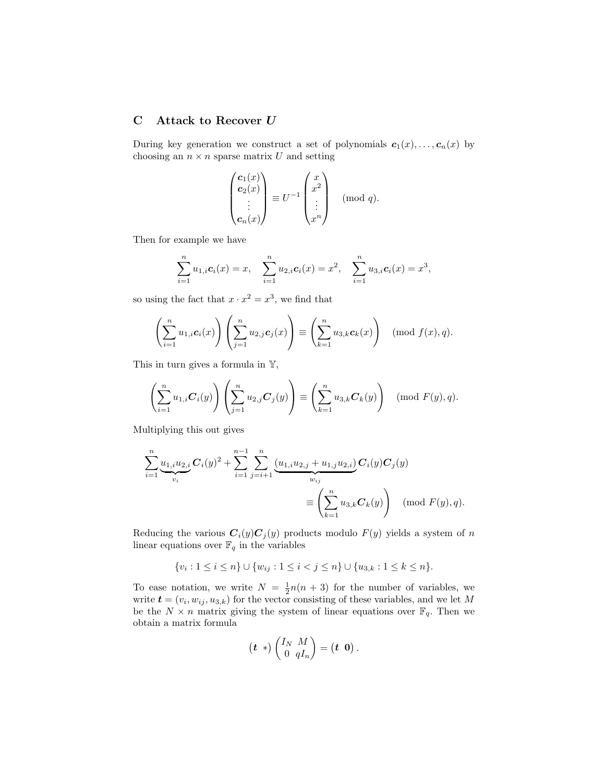# <span id="page-17-0"></span>C Attack to Recover  $\boldsymbol{U}$

During key generation we construct a set of polynomials  $c_1(x), \ldots, c_n(x)$  by choosing an  $n \times n$  sparse matrix U and setting

$$
\begin{pmatrix} \mathbf{c}_1(x) \\ \mathbf{c}_2(x) \\ \vdots \\ \mathbf{c}_n(x) \end{pmatrix} \equiv U^{-1} \begin{pmatrix} x \\ x^2 \\ \vdots \\ x^n \end{pmatrix} \pmod{q}.
$$

Then for example we have

$$
\sum_{i=1}^n u_{1,i} c_i(x) = x, \quad \sum_{i=1}^n u_{2,i} c_i(x) = x^2, \quad \sum_{i=1}^n u_{3,i} c_i(x) = x^3,
$$

so using the fact that  $x \cdot x^2 = x^3$ , we find that

$$
\left(\sum_{i=1}^n u_{1,i} \mathbf{c}_i(x)\right) \left(\sum_{j=1}^n u_{2,j} \mathbf{c}_j(x)\right) \equiv \left(\sum_{k=1}^n u_{3,k} \mathbf{c}_k(x)\right) \pmod{f(x), q}.
$$

This in turn gives a formula in  $\mathbb{Y}$ ,

$$
\left(\sum_{i=1}^n u_{1,i} \mathbf{C}_i(y)\right) \left(\sum_{j=1}^n u_{2,j} \mathbf{C}_j(y)\right) \equiv \left(\sum_{k=1}^n u_{3,k} \mathbf{C}_k(y)\right) \pmod{F(y), q}.
$$

Multiplying this out gives

$$
\sum_{i=1}^{n} \underbrace{u_{1,i} u_{2,i}}_{v_i} \mathbf{C}_i(y)^2 + \sum_{i=1}^{n-1} \sum_{j=i+1}^{n} \underbrace{(u_{1,i} u_{2,j} + u_{1,j} u_{2,i})}_{w_{ij}} \mathbf{C}_i(y) \mathbf{C}_j(y)
$$
\n
$$
\equiv \left(\sum_{k=1}^{n} u_{3,k} \mathbf{C}_k(y)\right) \pmod{F(y), q}.
$$

Reducing the various  $C_i(y)C_j(y)$  products modulo  $F(y)$  yields a system of n linear equations over  $\mathbb{F}_q$  in the variables

$$
\{v_i: 1 \le i \le n\} \cup \{w_{ij}: 1 \le i < j \le n\} \cup \{u_{3,k}: 1 \le k \le n\}.
$$

To ease notation, we write  $N = \frac{1}{2}n(n+3)$  for the number of variables, we write  $\mathbf{t} = (v_i, w_{ij}, u_{3,k})$  for the vector consisting of these variables, and we let M be the  $N \times n$  matrix giving the system of linear equations over  $\mathbb{F}_q$ . Then we obtain a matrix formula

$$
(\boldsymbol{t} \ *)\begin{pmatrix} I_N & M \\ 0 & qI_n \end{pmatrix} = (\boldsymbol{t} \ \boldsymbol{0}).
$$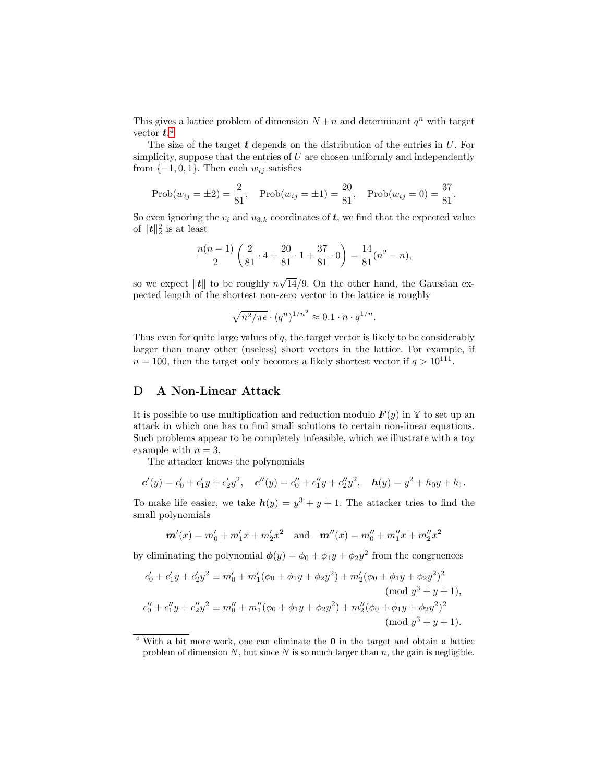This gives a lattice problem of dimension  $N + n$  and determinant  $q^n$  with target vector  $t.^4$  $t.^4$ 

The size of the target  $t$  depends on the distribution of the entries in  $U$ . For simplicity, suppose that the entries of  $U$  are chosen uniformly and independently from  $\{-1, 0, 1\}$ . Then each  $w_{ij}$  satisfies

Prob
$$
(w_{ij} = \pm 2) = \frac{2}{81}
$$
, Prob $(w_{ij} = \pm 1) = \frac{20}{81}$ , Prob $(w_{ij} = 0) = \frac{37}{81}$ .

So even ignoring the  $v_i$  and  $u_{3,k}$  coordinates of  $t$ , we find that the expected value of  $\|\boldsymbol{t}\|_2^2$  is at least

$$
\frac{n(n-1)}{2} \left( \frac{2}{81} \cdot 4 + \frac{20}{81} \cdot 1 + \frac{37}{81} \cdot 0 \right) = \frac{14}{81} (n^2 - n),
$$

so we expect  $\|\boldsymbol{t}\|$  to be roughly n √ 14/9. On the other hand, the Gaussian expected length of the shortest non-zero vector in the lattice is roughly

$$
\sqrt{n^2/\pi e} \cdot (q^n)^{1/n^2} \approx 0.1 \cdot n \cdot q^{1/n}.
$$

Thus even for quite large values of  $q$ , the target vector is likely to be considerably larger than many other (useless) short vectors in the lattice. For example, if  $n = 100$ , then the target only becomes a likely shortest vector if  $q > 10^{111}$ .

## D A Non-Linear Attack

It is possible to use multiplication and reduction modulo  $F(y)$  in Y to set up an attack in which one has to find small solutions to certain non-linear equations. Such problems appear to be completely infeasible, which we illustrate with a toy example with  $n = 3$ .

The attacker knows the polynomials

$$
\mathbf{c}'(y) = c'_0 + c'_1y + c'_2y^2, \quad \mathbf{c}''(y) = c''_0 + c''_1y + c''_2y^2, \quad \mathbf{h}(y) = y^2 + h_0y + h_1.
$$

To make life easier, we take  $h(y) = y^3 + y + 1$ . The attacker tries to find the small polynomials

$$
m'(x) = m'_0 + m'_1 x + m'_2 x^2
$$
 and  $m''(x) = m''_0 + m''_1 x + m''_2 x^2$ 

by eliminating the polynomial  $\phi(y) = \phi_0 + \phi_1 y + \phi_2 y^2$  from the congruences

$$
c'_0 + c'_1 y + c'_2 y^2 \equiv m'_0 + m'_1(\phi_0 + \phi_1 y + \phi_2 y^2) + m'_2(\phi_0 + \phi_1 y + \phi_2 y^2)^2
$$
  
\n(mod y<sup>3</sup> + y + 1),  
\n
$$
c''_0 + c''_1 y + c''_2 y^2 \equiv m''_0 + m''_1(\phi_0 + \phi_1 y + \phi_2 y^2) + m''_2(\phi_0 + \phi_1 y + \phi_2 y^2)^2
$$
  
\n(mod y<sup>3</sup> + y + 1).

<span id="page-18-0"></span> $4$  With a bit more work, one can eliminate the  $0$  in the target and obtain a lattice problem of dimension  $N$ , but since  $N$  is so much larger than  $n$ , the gain is negligible.